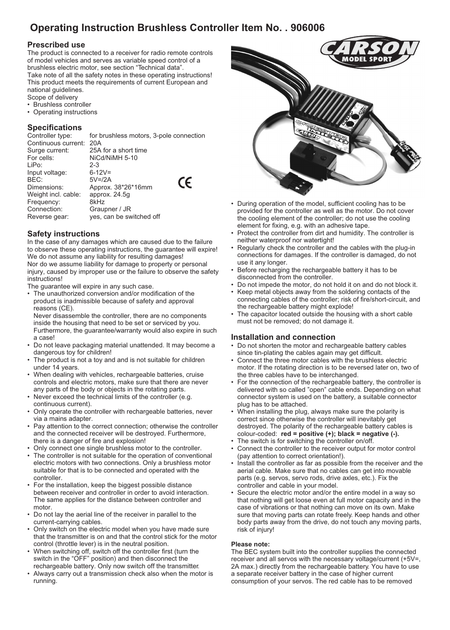# **Operating Instruction Brushless Controller Item No. . 906006**

## **Prescribed use**

The product is connected to a receiver for radio remote controls of model vehicles and serves as variable speed control of a brushless electric motor, see section "Technical data". Take note of all the safety notes in these operating instructions! This product meets the requirements of current European and national guidelines.

- Scope of delivery • Brushless controller
- Operating instructions

# **Specifications**

Controller type: for brushless motors, 3-pole connection Continuous current: 20A<br>Surge current: 25A Surge current: 25A for a short time<br>
For cells: NiCd/NiMH 5-10 NiCd/NiMH 5-10<br>2-3 LiPo: 2-3<br>Input voltage: 6-12V= Input voltage:  $BEC:$   $5V=12A$  $\epsilon$ Dimensions: Approx. 38\*26\*16mm Weight incl. cable: approx. 24.5g<br>Frequency: 8kHz Frequency: Connection: Graupner / JR Reverse gear: yes, can be switched off

## **Safety instructions**

In the case of any damages which are caused due to the failure to observe these operating instructions, the guarantee will expire! We do not assume any liability for resulting damages! Nor do we assume liability for damage to property or personal injury, caused by improper use or the failure to observe the safety instructions!

The quarantee will expire in any such case.

• The unauthorized conversion and/or modification of the product is inadmissible because of safety and approval reasons (CE).

Never disassemble the controller, there are no components inside the housing that need to be set or serviced by you. Furthermore, the guarantee/warranty would also expire in such a case!

- Do not leave packaging material unattended. It may become a dangerous toy for children!
- The product is not a toy and and is not suitable for children under 14 years.
- When dealing with vehicles, rechargeable batteries, cruise controls and electric motors, make sure that there are never any parts of the body or objects in the rotating parts.
- Never exceed the technical limits of the controller (e.g. continuous current).
- Only operate the controller with rechargeable batteries, never via a mains adapter.
- Pay attention to the correct connection; otherwise the controller and the connected receiver will be destroyed. Furthermore, there is a danger of fire and explosion!
- Only connect one single brushless motor to the controller.
- The controller is not suitable for the operation of conventional electric motors with two connections. Only a brushless motor suitable for that is to be connected and operated with the controller.
- For the installation, keep the biggest possible distance between receiver and controller in order to avoid interaction. The same applies for the distance between controller and motor.
- Do not lay the aerial line of the receiver in parallel to the current-carrying cables.
- Only switch on the electric model when you have made sure that the transmitter is on and that the control stick for the motor control (throttle lever) is in the neutral position.
- When switching off, switch off the controller first (turn the switch in the "OFF" position) and then disconnect the rechargeable battery. Only now switch off the transmitter.
- Always carry out a transmission check also when the motor is running.



- During operation of the model, sufficient cooling has to be provided for the controller as well as the motor. Do not cover the cooling element of the controller; do not use the cooling element for fixing, e.g. with an adhesive tape.
- Protect the controller from dirt and humidity. The controller is neither waterproof nor watertight!
- Regularly check the controller and the cables with the plug-in connections for damages. If the controller is damaged, do not use it any longer.
- Before recharging the rechargeable battery it has to be disconnected from the controller.
- Do not impede the motor, do not hold it on and do not block it.
- Keep metal objects away from the soldering contacts of the connecting cables of the controller; risk of fire/short-circuit, and the rechargeable battery might explode!
- The capacitor located outside the housing with a short cable must not be removed; do not damage it.

## **Installation and connection**

- Do not shorten the motor and rechargeable battery cables since tin-plating the cables again may get difficult.
- Connect the three motor cables with the brushless electric motor. If the rotating direction is to be reversed later on, two of the three cables have to be interchanged.
- For the connection of the rechargeable battery, the controller is delivered with so called "open" cable ends. Depending on what connector system is used on the battery, a suitable connector plug has to be attached.
- When installing the plug, always make sure the polarity is correct since otherwise the controller will inevitably get destroyed. The polarity of the rechargeable battery cables is colour-coded: **red = positive (+); black = negative (-).**
- The switch is for switching the controller on/off.
- Connect the controller to the receiver output for motor control (pay attention to correct orientation!).
- Install the controller as far as possible from the receiver and the aerial cable. Make sure that no cables can get into movable parts (e.g. servos, servo rods, drive axles, etc.). Fix the controller and cable in your model.
- Secure the electric motor and/or the entire model in a way so that nothing will get loose even at full motor capacity and in the case of vibrations or that nothing can move on its own. Make sure that moving parts can rotate freely. Keep hands and other body parts away from the drive, do not touch any moving parts, risk of injury!

### **Please note:**

The BEC system built into the controller supplies the connected receiver and all servos with the necessary voltage/current (+5V=, 2A max.) directly from the rechargeable battery. You have to use a separate receiver battery in the case of higher current consumption of your servos. The red cable has to be removed